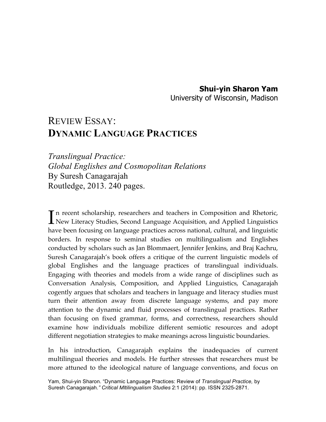## **Shui-yin Sharon Yam**

University of Wisconsin, Madison

## REVIEW ESSAY: **DYNAMIC LANGUAGE PRACTICES**

*Translingual Practice: Global Englishes and Cosmopolitan Relations* By Suresh Canagarajah Routledge, 2013. 240 pages.

n recent scholarship, researchers and teachers in Composition and Rhetoric, In recent scholarship, researchers and teachers in Composition and Rhetoric,<br>New Literacy Studies, Second Language Acquisition, and Applied Linguistics have been focusing on language practices across national, cultural, and linguistic borders. In response to seminal studies on multilingualism and Englishes conducted by scholars such as Jan Blommaert, Jennifer Jenkins, and Braj Kachru, Suresh Canagarajah's book offers a critique of the current linguistic models of global Englishes and the language practices of translingual individuals. Engaging with theories and models from a wide range of disciplines such as Conversation Analysis, Composition, and Applied Linguistics, Canagarajah cogently argues that scholars and teachers in language and literacy studies must turn their attention away from discrete language systems, and pay more attention to the dynamic and fluid processes of translingual practices. Rather than focusing on fixed grammar, forms, and correctness, researchers should examine how individuals mobilize different semiotic resources and adopt different negotiation strategies to make meanings across linguistic boundaries.

In his introduction, Canagarajah explains the inadequacies of current multilingual theories and models. He further stresses that researchers must be more attuned to the ideological nature of language conventions, and focus on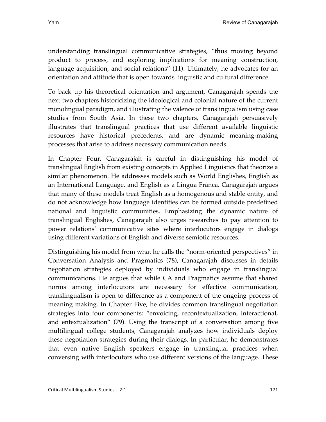understanding translingual communicative strategies, "thus moving beyond product to process, and exploring implications for meaning construction, language acquisition, and social relations" (11). Ultimately, he advocates for an orientation and attitude that is open towards linguistic and cultural difference.

To back up his theoretical orientation and argument, Canagarajah spends the next two chapters historicizing the ideological and colonial nature of the current monolingual paradigm, and illustrating the valence of translingualism using case studies from South Asia. In these two chapters, Canagarajah persuasively illustrates that translingual practices that use different available linguistic resources have historical precedents, and are dynamic meaning-making processes that arise to address necessary communication needs.

In Chapter Four, Canagarajah is careful in distinguishing his model of translingual English from existing concepts in Applied Linguistics that theorize a similar phenomenon. He addresses models such as World Englishes, English as an International Language, and English as a Lingua Franca. Canagarajah argues that many of these models treat English as a homogenous and stable entity, and do not acknowledge how language identities can be formed outside predefined national and linguistic communities. Emphasizing the dynamic nature of translingual Englishes, Canagarajah also urges researches to pay attention to power relations' communicative sites where interlocutors engage in dialogs using different variations of English and diverse semiotic resources.

Distinguishing his model from what he calls the "norm-oriented perspectives" in Conversation Analysis and Pragmatics (78), Canagarajah discusses in details negotiation strategies deployed by individuals who engage in translingual communications. He argues that while CA and Pragmatics assume that shared norms among interlocutors are necessary for effective communication, translingualism is open to difference as a component of the ongoing process of meaning making. In Chapter Five, he divides common translingual negotiation strategies into four components: "envoicing, recontextualization, interactional, and entextualization" (79). Using the transcript of a conversation among five multilingual college students, Canagarajah analyzes how individuals deploy these negotiation strategies during their dialogs. In particular, he demonstrates that even native English speakers engage in translingual practices when conversing with interlocutors who use different versions of the language. These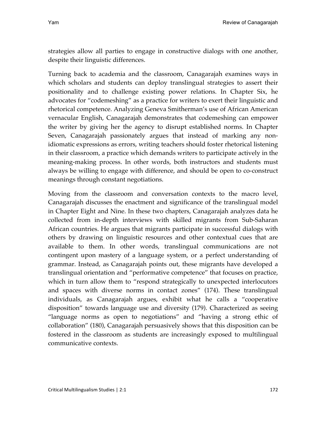strategies allow all parties to engage in constructive dialogs with one another, despite their linguistic differences.

Turning back to academia and the classroom, Canagarajah examines ways in which scholars and students can deploy translingual strategies to assert their positionality and to challenge existing power relations. In Chapter Six, he advocates for "codemeshing" as a practice for writers to exert their linguistic and rhetorical competence. Analyzing Geneva Smitherman's use of African American vernacular English, Canagarajah demonstrates that codemeshing can empower the writer by giving her the agency to disrupt established norms. In Chapter Seven, Canagarajah passionately argues that instead of marking any nonidiomatic expressions as errors, writing teachers should foster rhetorical listening in their classroom, a practice which demands writers to participate actively in the meaning-making process. In other words, both instructors and students must always be willing to engage with difference, and should be open to co-construct meanings through constant negotiations.

Moving from the classroom and conversation contexts to the macro level, Canagarajah discusses the enactment and significance of the translingual model in Chapter Eight and Nine. In these two chapters, Canagarajah analyzes data he collected from in-depth interviews with skilled migrants from Sub-Saharan African countries. He argues that migrants participate in successful dialogs with others by drawing on linguistic resources and other contextual cues that are available to them. In other words, translingual communications are not contingent upon mastery of a language system, or a perfect understanding of grammar. Instead, as Canagarajah points out, these migrants have developed a translingual orientation and "performative competence" that focuses on practice, which in turn allow them to "respond strategically to unexpected interlocutors and spaces with diverse norms in contact zones" (174). These translingual individuals, as Canagarajah argues, exhibit what he calls a "cooperative disposition" towards language use and diversity (179). Characterized as seeing "language norms as open to negotiations" and "having a strong ethic of collaboration" (180), Canagarajah persuasively shows that this disposition can be fostered in the classroom as students are increasingly exposed to multilingual communicative contexts.